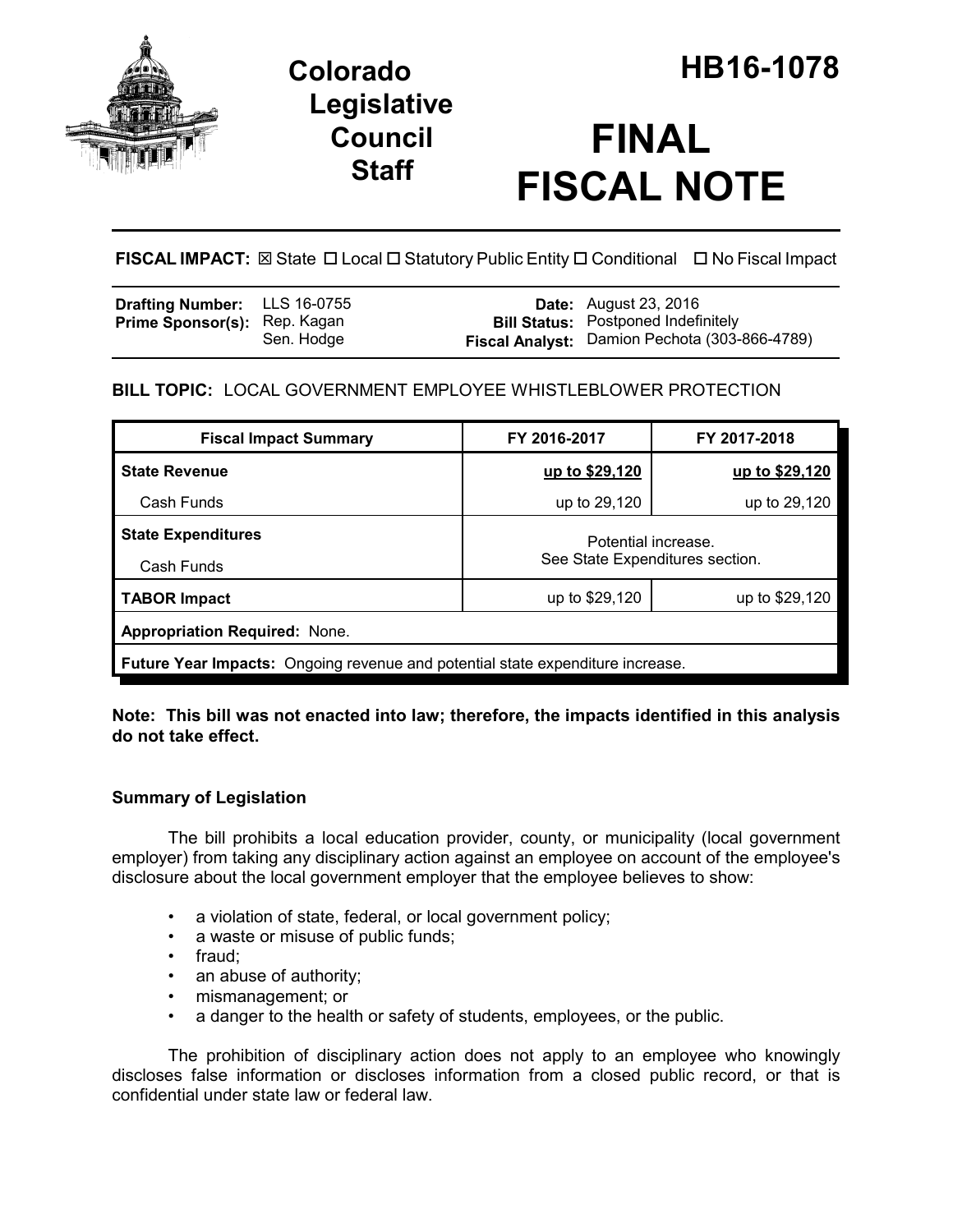

## **Legislative Council Staff**

# **FINAL FISCAL NOTE**

**FISCAL IMPACT:** ⊠ State □ Local □ Statutory Public Entity □ Conditional □ No Fiscal Impact

| <b>Drafting Number:</b> LLS 16-0755 |            | <b>Date:</b> August 23, 2016                         |
|-------------------------------------|------------|------------------------------------------------------|
| <b>Prime Sponsor(s): Rep. Kagan</b> |            | <b>Bill Status:</b> Postponed Indefinitely           |
|                                     | Sen. Hodge | <b>Fiscal Analyst:</b> Damion Pechota (303-866-4789) |

### **BILL TOPIC:** LOCAL GOVERNMENT EMPLOYEE WHISTLEBLOWER PROTECTION

| <b>Fiscal Impact Summary</b>                                                          | FY 2016-2017                                           | FY 2017-2018   |  |  |  |
|---------------------------------------------------------------------------------------|--------------------------------------------------------|----------------|--|--|--|
| <b>State Revenue</b>                                                                  | up to \$29,120                                         | up to \$29,120 |  |  |  |
| Cash Funds                                                                            | up to 29,120                                           | up to 29,120   |  |  |  |
| <b>State Expenditures</b>                                                             | Potential increase.<br>See State Expenditures section. |                |  |  |  |
| Cash Funds                                                                            |                                                        |                |  |  |  |
| <b>TABOR Impact</b>                                                                   | up to \$29,120                                         | up to \$29,120 |  |  |  |
| <b>Appropriation Required: None.</b>                                                  |                                                        |                |  |  |  |
| <b>Future Year Impacts:</b> Ongoing revenue and potential state expenditure increase. |                                                        |                |  |  |  |

**Note: This bill was not enacted into law; therefore, the impacts identified in this analysis do not take effect.**

#### **Summary of Legislation**

The bill prohibits a local education provider, county, or municipality (local government employer) from taking any disciplinary action against an employee on account of the employee's disclosure about the local government employer that the employee believes to show:

- a violation of state, federal, or local government policy;
- a waste or misuse of public funds;
- fraud;
- an abuse of authority;
- mismanagement; or
- a danger to the health or safety of students, employees, or the public.

The prohibition of disciplinary action does not apply to an employee who knowingly discloses false information or discloses information from a closed public record, or that is confidential under state law or federal law.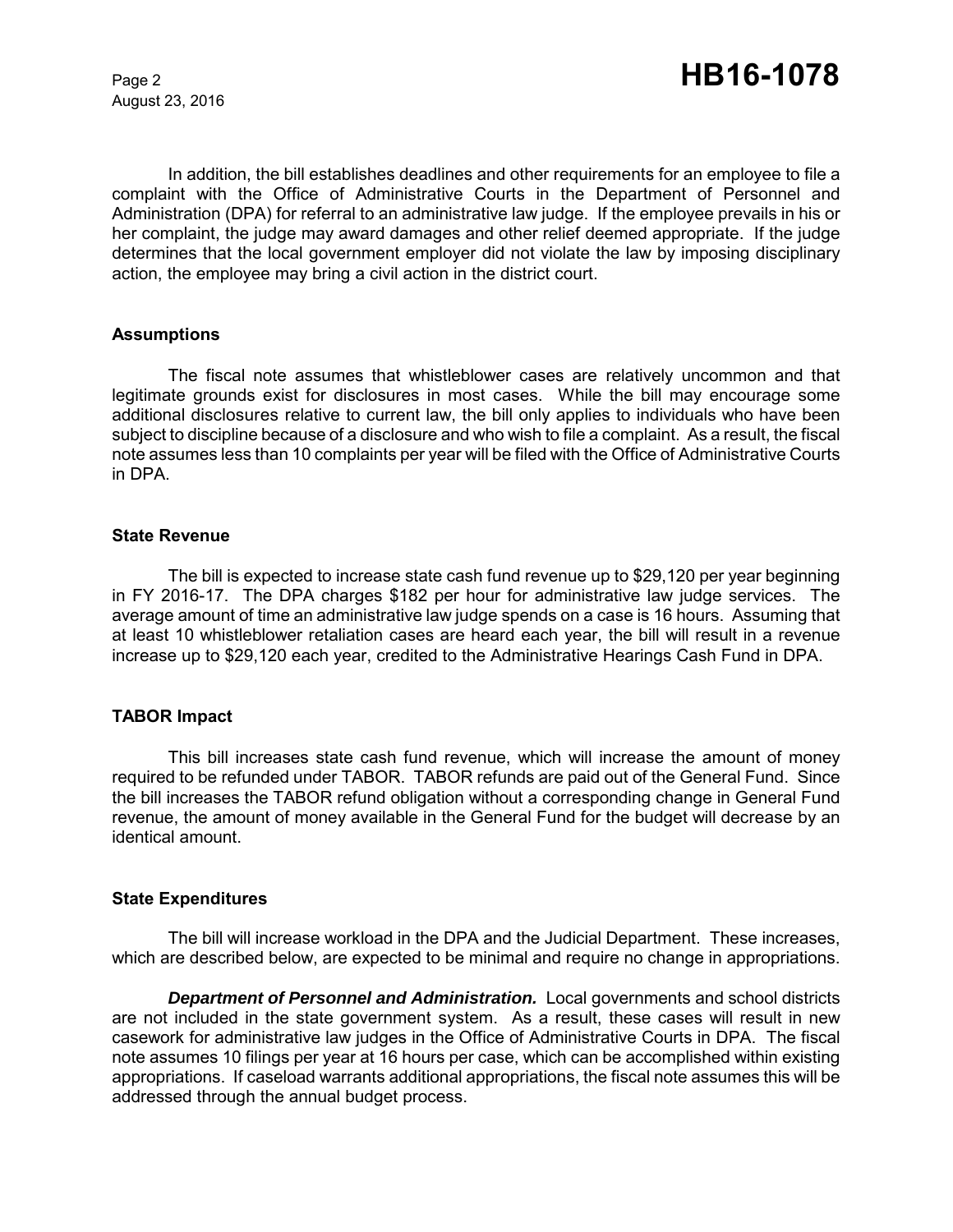August 23, 2016

In addition, the bill establishes deadlines and other requirements for an employee to file a complaint with the Office of Administrative Courts in the Department of Personnel and Administration (DPA) for referral to an administrative law judge. If the employee prevails in his or her complaint, the judge may award damages and other relief deemed appropriate. If the judge determines that the local government employer did not violate the law by imposing disciplinary action, the employee may bring a civil action in the district court.

#### **Assumptions**

The fiscal note assumes that whistleblower cases are relatively uncommon and that legitimate grounds exist for disclosures in most cases. While the bill may encourage some additional disclosures relative to current law, the bill only applies to individuals who have been subject to discipline because of a disclosure and who wish to file a complaint. As a result, the fiscal note assumes less than 10 complaints per year will be filed with the Office of Administrative Courts in DPA.

#### **State Revenue**

The bill is expected to increase state cash fund revenue up to \$29,120 per year beginning in FY 2016-17. The DPA charges \$182 per hour for administrative law judge services. The average amount of time an administrative law judge spends on a case is 16 hours. Assuming that at least 10 whistleblower retaliation cases are heard each year, the bill will result in a revenue increase up to \$29,120 each year, credited to the Administrative Hearings Cash Fund in DPA.

#### **TABOR Impact**

This bill increases state cash fund revenue, which will increase the amount of money required to be refunded under TABOR. TABOR refunds are paid out of the General Fund.Since the bill increases the TABOR refund obligation without a corresponding change in General Fund revenue, the amount of money available in the General Fund for the budget will decrease by an identical amount.

#### **State Expenditures**

The bill will increase workload in the DPA and the Judicial Department. These increases, which are described below, are expected to be minimal and require no change in appropriations.

*Department of Personnel and Administration.* Local governments and school districts are not included in the state government system. As a result, these cases will result in new casework for administrative law judges in the Office of Administrative Courts in DPA. The fiscal note assumes 10 filings per year at 16 hours per case, which can be accomplished within existing appropriations. If caseload warrants additional appropriations, the fiscal note assumes this will be addressed through the annual budget process.